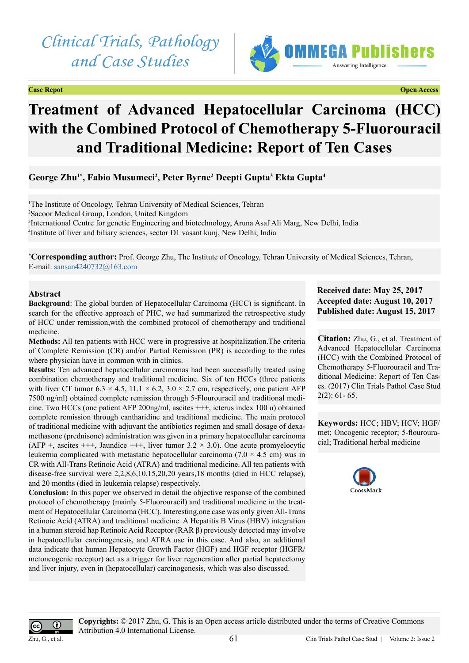



# **Treatment of Advanced Hepatocellular Carcinoma (HCC) with the Combined Protocol of Chemotherapy 5-Fluorouracil and Traditional Medicine: Report of Ten Cases**

## **George Zhu1\*, Fabio Musumeci2 , Peter Byrne2 Deepti Gupta3 Ekta Gupta4**

<sup>1</sup>The Institute of Oncology, Tehran University of Medical Sciences, Tehran Sacoor Medical Group, London, United Kingdom International Centre for genetic Engineering and biotechnology, Aruna Asaf Ali Marg, New Delhi, India Institute of liver and biliary sciences, sector D1 vasant kunj, New Delhi, India

**\* Corresponding author:** Prof. George Zhu, The Institute of Oncology, Tehran University of Medical Sciences, Tehran, E-mail: [sansan4240732@163.com](mailto:sansan4240732@0163.com)

## **Abstract**

**Background**: The global burden of Hepatocellular Carcinoma (HCC) is significant. In search for the effective approach of PHC, we had summarized the retrospective study of HCC under remission,with the combined protocol of chemotherapy and traditional medicine.

**Methods:** All ten patients with HCC were in progressive at hospitalization.The criteria of Complete Remission (CR) and/or Partial Remission (PR) is according to the rules where physician have in common with in clinics.

**Results:** Ten advanced hepatocellular carcinomas had been successfully treated using combination chemotherapy and traditional medicine. Six of ten HCCs (three patients with liver CT tumor 6.3  $\times$  4.5, 11.1  $\times$  6.2, 3.0  $\times$  2.7 cm, respectively, one patient AFP 7500 ng/ml) obtained complete remission through 5-Flourouracil and traditional medicine. Two HCCs (one patient AFP 200ng/ml, ascites +++, icterus index 100 u) obtained complete remission through cantharidine and traditional medicine. The main protocol of traditional medicine with adjuvant the antibiotics regimen and small dosage of dexamethasone (prednisone) administration was given in a primary hepatocellular carcinoma (AFP +, ascites +++, Jaundice +++, liver tumor  $3.2 \times 3.0$ ). One acute promyelocytic leukemia complicated with metastatic hepatocellular carcinoma (7.0  $\times$  4.5 cm) was in CR with All-Trans Retinoic Acid (ATRA) and traditional medicine. All ten patients with disease-free survival were 2,2,8,6,10,15,20,20 years,18 months (died in HCC relapse), and 20 months (died in leukemia relapse) respectively.

**Conclusion:** In this paper we observed in detail the objective response of the combined protocol of chemotherapy (mainly 5-Fluorouracil) and traditional medicine in the treatment of Hepatocellular Carcinoma (HCC). Interesting,one case was only given All-Trans Retinoic Acid (ATRA) and traditional medicine. A Hepatitis B Virus (HBV) integration in a human steroid hap Retinoic Acid Receptor (RAR β) previously detected may involve in hepatocellular carcinogenesis, and ATRA use in this case. And also, an additional data indicate that human Hepatocyte Growth Factor (HGF) and HGF receptor (HGFR/ metoncogenic receptor) act as a trigger for liver regeneration after partial hepatectomy and liver injury, even in (hepatocellular) carcinogenesis, which was also discussed.

## **Received date: May 25, 2017 Accepted date: August 10, 2017 Published date: August 15, 2017**

**Citation:** Zhu, G., et al. Treatment of Advanced Hepatocellular Carcinoma (HCC) with the Combined Protocol of Chemotherapy 5-Fluorouracil and Traditional Medicine: Report of Ten Cases. (2017) Clin Trials Pathol Case Stud  $2(2): 61 - 65.$ 

**Keywords:** HCC; HBV; HCV; HGF/ met; Oncogenic receptor; 5-flourouracial; Traditional herbal medicine



 $\bf 0$ Zhu, G., et al. **Copyrights:** © 2017 Zhu, G. This is an Open access article distributed under the terms of Creative Commons Attribution 4.0 International License.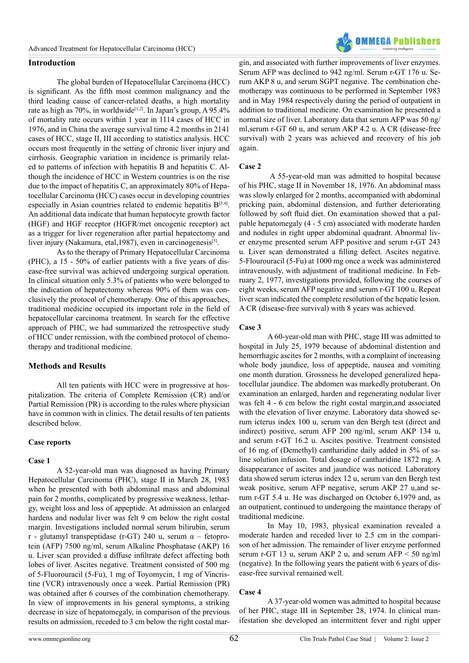

## **Introduction**

The global burden of Hepatocellular Carcinoma (HCC) is significant. As the fifth most common malignancy and the third leading cause of cancer-related deaths, a high mortality rate as high as  $70\%$ , in worldwide<sup>[\[1,2\]](#page-4-0)</sup>. In Japan's group, A 95.4% of mortality rate occurs within 1 year in 1114 cases of HCC in 1976, and in China the average survival time 4.2 months in 2141 cases of HCC, stage II, III according to statistics analysis. HCC occurs most frequently in the setting of chronic liver injury and cirrhosis. Geographic variation in incidence is primarily related to patterns of infection with hepatitis B and hepatitis C. Although the incidence of HCC in Western countries is on the rise due to the impact of hepatitis C, an approximately 80% of Hepatocellular Carcinoma (HCC) cases occur in developing countries especially in Asian countries related to endemic hepatitis  $B^{[3,4]}$  $B^{[3,4]}$  $B^{[3,4]}$ . An additional data indicate that human hepatocyte growth factor (HGF) and HGF receptor (HGFR/met oncogenic receptor) act as a trigger for liver regeneration after partial hepatectomy and liver injury (Nakamura, etal, 1987), even in carcinogenesis<sup>[5]</sup>.

As to the therapy of Primary Hepatocellular Carcinoma (PHC), a 15 - 50% of earlier patients with a five years of disease-free survival was achieved undergoing surgical operation. In clinical situation only 5.3% of patients who were belonged to the indication of hepatectomy whereas 90% of them was conclusively the protocol of chemotherapy. One of this approaches, traditional medicine occupied its important role in the field of hepatocellular carcinoma treatment. In search for the effective approach of PHC, we had summarized the retrospective study of HCC under remission, with the combined protocol of chemotherapy and traditional medicine.

## **Methods and Results**

All ten patients with HCC were in progressive at hospitalization. The criteria of Complete Remission (CR) and/or Partial Remission (PR) is according to the rules where physician have in common with in clinics. The detail results of ten patients described below.

#### **Case reports**

#### **Case 1**

A 52-year-old man was diagnosed as having Primary Hepatocellular Carcinoma (PHC), stage II in March 28, 1983 when he presented with both abdominal mass and abdominal pain for 2 months, complicated by progressive weakness, lethargy, weight loss and loss of appeptide. At admission an enlarged hardens and nodular liver was felt 9 cm below the right costal margin. Investigations included normal serum bilirubin, serum r - glutamyl transpeptidase (r-GT) 240 u, serum  $\alpha$  – fetoprotein (AFP) 7500 ng/ml, serum Alkaline Phosphatase (AKP) 16 u. Liver scan provided a diffuse infiltrate defect affecting both lobes of liver. Ascites negative. Treatment consisted of 500 mg of 5-Fluorouracil (5-Fu), 1 mg of Toyomycin, 1 mg of Vincristine (VCR) intravenously once a week. Partial Remission (PR) was obtained after 6 courses of the combination chemotherapy. In view of improvements in his general symptoms, a striking decrease in size of hepatomegaly, in comparison of the previous results on admission, receded to 3 cm below the right costal margin, and associated with further improvements of liver enzymes. Serum AFP was declined to 942 ng/ml. Serum r-GT 176 u. Serum AKP 8 u, and serum SGPT negative. The combination chemotherapy was continuous to be performed in September 1983 and in May 1984 respectively during the period of outpatient in addition to traditional medicine. On examination he presented a normal size of liver. Laboratory data that serum AFP was 50 ng/ ml,serum r-GT 60 u, and serum AKP 4.2 u. A CR (disease-free survival) with 2 years was achieved and recovery of his job again.

#### **Case 2**

 A 55-year-old man was admitted to hospital because of his PHC, stage II in November 18, 1976. An abdominal mass was slowly enlarged for 2 months, accompanied with abdominal pricking pain, abdominal distension, and further deteriorating followed by soft fluid diet. On examination showed that a palpable hepatomegaly (4 - 5 cm) associated with moderate harden and nodules in right upper abdominal quadrant. Abnormal liver enzyme presented serum AFP positive and serum r-GT 243 u. Liver scan demonstrated a filling defect. Ascites negative. 5-Flourouracil (5-Fu) at 1000 mg once a week was administered intravenously, with adjustment of traditional medicine. In February 2, 1977, investigations provided, following the courses of eight weeks, serum AFP negative and serum r-GT 100 u. Repeat liver scan indicated the complete resolution of the hepatic lesion. A CR (disease-free survival) with 8 years was achieved.

### **Case 3**

A 60-year-old man with PHC, stage III was admitted to hospital in July 25, 1979 because of abdominal distention and hemorrhagic ascites for 2 months, with a complaint of increasing whole body jaundice, loss of appeptide, nausea and vomiting one month duration. Grossness he developed generalized hepatocellular jaundice. The abdomen was markedly protuberant. On examination an enlarged, harden and regenerating nodular liver was felt 4 - 6 cm below the right costal margin,and associated with the elevation of liver enzyme. Laboratory data showed serum icterus index 100 u, serum van den Bergh test (direct and indirect) positive, serum AFP 200 ng/ml, serum AKP 134 u, and serum r-GT 16.2 u. Ascites positive. Treatment consisted of 16 mg of (Demethyl) cantharidine daily added in 5% of saline solution infusion. Total dosage of cantharidine 1872 mg. A disappearance of ascites and jaundice was noticed. Laboratory data showed serum icterus index 12 u, serum van den Bergh test weak positive, serum AFP negative, serum AKP 27 u,and serum r-GT 5.4 u. He was discharged on October 6,1979 and, as an outpatient, continued to undergoing the maintance therapy of traditional medicine.

In May 10, 1983, physical examination revealed a moderate harden and receded liver to 2.5 cm in the comparison of her admission. The remainder of liver enzyme performed serum r-GT 13 u, serum AKP 2 u, and serum AFP  $\leq 50$  ng/ml (negative). In the following years the patient with 6 years of disease-free survival remained well.

## **Case 4**

A 37-year-old women was admitted to hospital because of her PHC, stage III in September 28, 1974. In clinical manifestation she developed an intermittent fever and right upper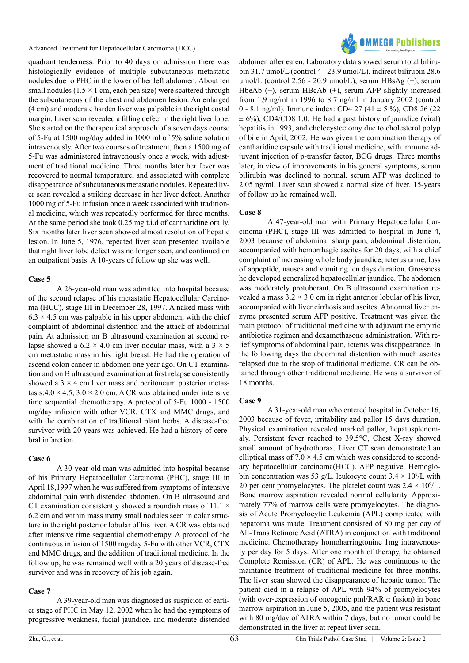

quadrant tenderness. Prior to 40 days on admission there was histologically evidence of multiple subcutaneous metastatic nodules due to PHC in the lower of her left abdomen. About ten small nodules ( $1.5 \times 1$  cm, each pea size) were scattered through the subcutaneous of the chest and abdomen lesion. An enlarged (4 cm) and moderate harden liver was palpable in the right costal margin. Liver scan revealed a filling defect in the right liver lobe. She started on the therapeutical approach of a seven days course of 5-Fu at 1500 mg/day added in 1000 ml of 5% saline solution intravenously. After two courses of treatment, then a 1500 mg of 5-Fu was administered intravenously once a week, with adjustment of traditional medicine. Three months later her fever was recovered to normal temperature, and associated with complete disappearance of subcutaneous metastatic nodules. Repeated liver scan revealed a striking decrease in her liver defect. Another 1000 mg of 5-Fu infusion once a week associated with traditional medicine, which was repeatedly performed for three months. At the same period she took 0.25 mg t.i.d of cantharidine orally. Six months later liver scan showed almost resolution of hepatic lesion. In June 5, 1976, repeated liver scan presented available that right liver lobe defect was no longer seen, and continued on an outpatient basis. A 10-years of follow up she was well.

#### **Case 5**

A 26-year-old man was admitted into hospital because of the second relapse of his metastatic Hepatocellular Carcinoma (HCC), stage III in December 28, 1997. A naked mass with  $6.3 \times 4.5$  cm was palpable in his upper abdomen, with the chief complaint of abdominal distention and the attack of abdominal pain. At admission on B ultrasound examination at second relapse showed a  $6.2 \times 4.0$  cm liver nodular mass, with a  $3 \times 5$ cm metastatic mass in his right breast. He had the operation of ascend colon cancer in abdomen one year ago. On CT examination and on B ultrasound examination at first relapse consistently showed a  $3 \times 4$  cm liver mass and peritoneum posterior metastasis: $4.0 \times 4.5$ ,  $3.0 \times 2.0$  cm. A CR was obtained under intensive time sequential chemotherapy. A protocol of 5-Fu 1000 - 1500 mg/day infusion with other VCR, CTX and MMC drugs, and with the combination of traditional plant herbs. A disease-free survivor with 20 years was achieved. He had a history of cerebral infarction.

#### **Case 6**

A 30-year-old man was admitted into hospital because of his Primary Hepatocellular Carcinoma (PHC), stage III in April 18,1997 when he was suffered from symptoms of intensive abdominal pain with distended abdomen. On B ultrasound and CT examination consistently showed a roundish mass of 11.1  $\times$ 6.2 cm and within mass many small nodules seen in colar structure in the right posterior lobular of his liver. A CR was obtained after intensive time sequential chemotherapy. A protocol of the continuous infusion of 1500 mg/day 5-Fu with other VCR, CTX and MMC drugs, and the addition of traditional medicine. In the follow up, he was remained well with a 20 years of disease-free survivor and was in recovery of his job again.

#### **Case 7**

A 39-year-old man was diagnosed as suspicion of earlier stage of PHC in May 12, 2002 when he had the symptoms of progressive weakness, facial jaundice, and moderate distended

abdomen after eaten. Laboratory data showed serum total bilirubin 31.7 umol/L (control 4 - 23.9 umol/L), indirect bilirubin 28.6 umol/L (control 2.56 - 20.9 umol/L), serum HBsAg (+), serum HbeAb (+), serum HBcAb (+), serum AFP slightly increased from 1.9 ng/ml in 1996 to 8.7 ng/ml in January 2002 (control 0 - 8.1 ng/ml). Immune index: CD4 27 (41  $\pm$  5 %), CD8 26 (22)  $\pm$  6%), CD4/CD8 1.0. He had a past history of jaundice (viral) hepatitis in 1993, and cholecystectomy due to cholesterol polyp of bile in April, 2002. He was given the combination therapy of cantharidine capsule with traditional medicine, with immune adjuvant injection of p-transfer factor, BCG drugs. Three months later, in view of improvements in his general symptoms, serum bilirubin was declined to normal, serum AFP was declined to 2.05 ng/ml. Liver scan showed a normal size of liver. 15-years of follow up he remained well.

## **Case 8**

A 47-year-old man with Primary Hepatocellular Carcinoma (PHC), stage III was admitted to hospital in June 4, 2003 because of abdominal sharp pain, abdominal distention, accompanied with hemorrhagic ascites for 20 days, with a chief complaint of increasing whole body jaundice, icterus urine, loss of appeptide, nausea and vomiting ten days duration. Grossness he developed generalized hepatocellular jaundice. The abdomen was moderately protuberant. On B ultrasound examination revealed a mass  $3.2 \times 3.0$  cm in right anterior lobular of his liver, accompanied with liver cirrhosis and ascites. Abnormal liver enzyme presented serum AFP positive. Treatment was given the main protocol of traditional medicine with adjuvant the empiric antibiotics regimen and dexamethasone administration. With relief symptoms of abdominal pain, icterus was disappearance. In the following days the abdominal distention with much ascites relapsed due to the stop of traditional medicine. CR can be obtained through other traditional medicine. He was a survivor of 18 months.

#### **Case 9**

A 31-year-old man who entered hospital in October 16, 2003 because of fever, irritability and pallor 15 days duration. Physical examination revealed marked pallor, hepatosplenomaly. Persistent fever reached to 39.5°C, Chest X-ray showed small amount of hydrothorax. Liver CT scan demonstrated an elliptical mass of  $7.0 \times 4.5$  cm which was considered to secondary hepatocellular carcinoma(HCC). AFP negative. Hemoglobin concentration was 53 g/L. leukocyte count  $3.4 \times 10^9$ /L with 20 per cent promyelocytes. The platelet count was  $2.4 \times 10^9$ /L. Bone marrow aspiration revealed normal cellularity. Approximately 77% of marrow cells were promyelocytes. The diagnosis of Acute Promyelocytic Leukemia (APL) complicated with hepatoma was made. Treatment consisted of 80 mg per day of All-Trans Retinoic Acid (ATRA) in conjunction with traditional medicine. Chemotherapy homoharringtonine 1mg intravenously per day for 5 days. After one month of therapy, he obtained Complete Remission (CR) of APL. He was continuous to the maintance treatment of traditional medicine for three months. The liver scan showed the disappearance of hepatic tumor. The patient died in a relapse of APL with 94% of promyelocytes (with over-expression of oncogenic pml/RAR  $\alpha$  fusion) in bone marrow aspiration in June 5, 2005, and the patient was resistant with 80 mg/day of ATRA within 7 days, but no tumor could be demonstrated in the liver at repeat liver scan.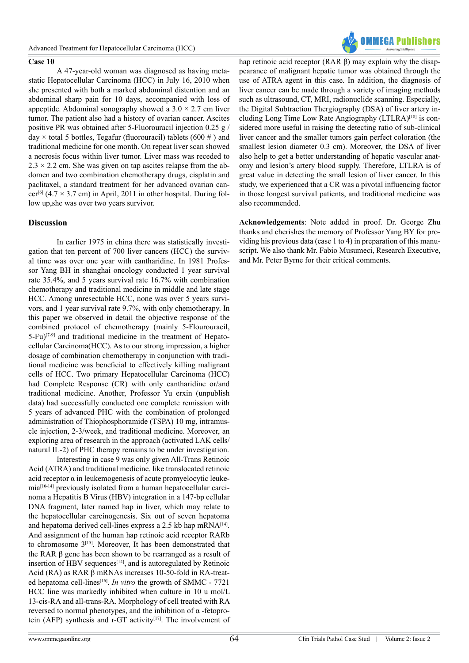

#### **Case 10**

A 47-year-old woman was diagnosed as having metastatic Hepatocellular Carcinoma (HCC) in July 16, 2010 when she presented with both a marked abdominal distention and an abdominal sharp pain for 10 days, accompanied with loss of appeptide. Abdominal sonography showed a  $3.0 \times 2.7$  cm liver tumor. The patient also had a history of ovarian cancer. Ascites positive PR was obtained after 5-Fluorouracil injection 0.25 g / day  $\times$  total 5 bottles, Tegafur (fluorouracil) tablets (600 #) and traditional medicine for one month. On repeat liver scan showed a necrosis focus within liver tumor. Liver mass was receded to  $2.3 \times 2.2$  cm. She was given on tap ascites relapse from the abdomen and two combination chemotherapy drugs, cisplatin and paclitaxel, a standard treatment for her advanced ovarian cancer<sup>[6]</sup> (4.7  $\times$  3.7 cm) in April, 2011 in other hospital. During follow up,she was over two years survivor.

#### **Discussion**

In earlier 1975 in china there was statistically investigation that ten percent of 700 liver cancers (HCC) the survival time was over one year with cantharidine. In 1981 Professor Yang BH in shanghai oncology conducted 1 year survival rate 35.4%, and 5 years survival rate 16.7% with combination chemotherapy and traditional medicine in middle and late stage HCC. Among unresectable HCC, none was over 5 years survivors, and 1 year survival rate 9.7%, with only chemotherapy. In this paper we observed in detail the objective response of the combined protocol of chemotherapy (mainly 5-Flourouracil, 5-Fu[\)\[7-9\]](#page-4-4) and traditional medicine in the treatment of Hepatocellular Carcinoma(HCC). As to our strong impression, a higher dosage of combination chemotherapy in conjunction with traditional medicine was beneficial to effectively killing malignant cells of HCC. Two primary Hepatocellular Carcinoma (HCC) had Complete Response (CR) with only cantharidine or/and traditional medicine. Another, Professor Yu erxin (unpublish data) had successfully conducted one complete remission with 5 years of advanced PHC with the combination of prolonged administration of Thiophosphoramide (TSPA) 10 mg, intramuscle injection, 2-3/week, and traditional medicine. Moreover, an exploring area of research in the approach (activated LAK cells/ natural IL-2) of PHC therapy remains to be under investigation.

Interesting in case 9 was only given All-Trans Retinoic Acid (ATRA) and traditional medicine. like translocated retinoic acid receptor  $\alpha$  in leukemogenesis of acute promyelocytic leukemia[\[10-14\]](#page-4-5) previously isolated from a human hepatocellular carcinoma a Hepatitis B Virus (HBV) integration in a 147-bp cellular DNA fragment, later named hap in liver, which may relate to the hepatocellular carcinogenesis. Six out of seven hepatoma and hepatoma derived cell-lines express a 2.5 kb hap  $mRNA^{[14]}$  $mRNA^{[14]}$  $mRNA^{[14]}$ . And assignment of the human hap retinoic acid receptor RARb to chromosome 3[\[15\].](#page-4-7) Moreover, It has been demonstrated that the RAR β gene has been shown to be rearranged as a result of insertion of HBV sequences<sup>[14]</sup>, and is autoregulated by Retinoic Acid (RA) as RAR β mRNAs increases 10-50-fold in RA-treat-ed hepatoma cell-lines<sup>[\[16\]](#page-4-8)</sup>. *In vitro* the growth of SMMC - 7721 HCC line was markedly inhibited when culture in 10 u mol/L 13-cis-RA and all-trans-RA. Morphology of cell treated with RA reversed to normal phenotypes, and the inhibition of α -fetoprotein (AFP) synthesis and r-GT activity<sup>[17]</sup>. The involvement of

hap retinoic acid receptor (RAR β) may explain why the disappearance of malignant hepatic tumor was obtained through the use of ATRA agent in this case. In addition, the diagnosis of liver cancer can be made through a variety of imaging methods such as ultrasound, CT, MRI, radionuclide scanning. Especially, the Digital Subtraction Thergiography (DSA) of liver artery including Long Time Low Rate Angiography (LTLRA)[\[18\]](#page-4-10) is considered more useful in raising the detecting ratio of sub-clinical liver cancer and the smaller tumors gain perfect coloration (the smallest lesion diameter 0.3 cm). Moreover, the DSA of liver also help to get a better understanding of hepatic vascular anatomy and lesion's artery blood supply. Therefore, LTLRA is of great value in detecting the small lesion of liver cancer. In this study, we experienced that a CR was a pivotal influencing factor in those longest survival patients, and traditional medicine was also recommended.

**Acknowledgements**: Note added in proof. Dr. George Zhu thanks and cherishes the memory of Professor Yang BY for providing his previous data (case 1 to 4) in preparation of this manuscript. We also thank Mr. Fabio Musumeci, Research Executive, and Mr. Peter Byrne for their critical comments.